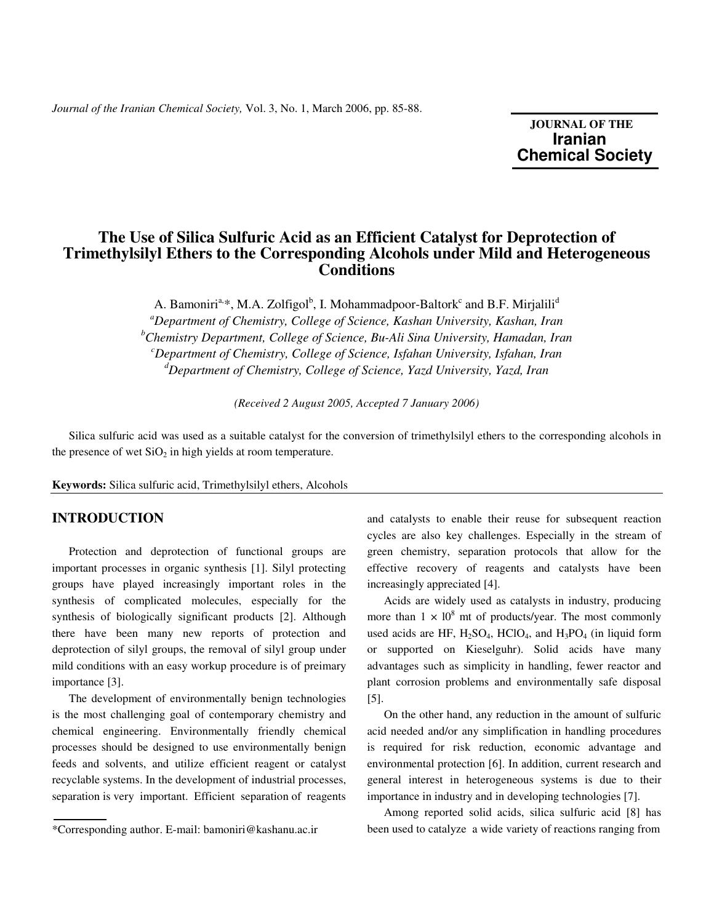*Journal of the Iranian Chemical Society,* Vol. 3, No. 1, March 2006, pp. 85-88.

**JOURNAL OF THE Iranian**  **Chemical Society** 

# **The Use of Silica Sulfuric Acid as an Efficient Catalyst for Deprotection of Trimethylsilyl Ethers to the Corresponding Alcohols under Mild and Heterogeneous Conditions**

A. Bamoniri<sup>a,\*</sup>, M.A. Zolfigol<sup>b</sup>, I. Mohammadpoor-Baltork<sup>c</sup> and B.F. Mirjalili<sup>d</sup> *<sup>a</sup>Department of Chemistry, College of Science, Kashan University, Kashan, Iran <sup>b</sup>Chemistry Department, College of Science, Bu-Ali Sina University, Hamadan, Iran <sup>c</sup>Department of Chemistry, College of Science, Isfahan University, Isfahan, Iran <sup>d</sup>Department of Chemistry, College of Science, Yazd University, Yazd, Iran*

*(Received 2 August 2005, Accepted 7 January 2006)* 

 Silica sulfuric acid was used as a suitable catalyst for the conversion of trimethylsilyl ethers to the corresponding alcohols in the presence of wet  $SiO<sub>2</sub>$  in high yields at room temperature.

**Keywords:** Silica sulfuric acid, Trimethylsilyl ethers, Alcohols

### **INTRODUCTION**

 Protection and deprotection of functional groups are important processes in organic synthesis [1]. Silyl protecting groups have played increasingly important roles in the synthesis of complicated molecules, especially for the synthesis of biologically significant products [2]. Although there have been many new reports of protection and deprotection of silyl groups, the removal of silyl group under mild conditions with an easy workup procedure is of preimary importance [3].

 The development of environmentally benign technologies is the most challenging goal of contemporary chemistry and chemical engineering. Environmentally friendly chemical processes should be designed to use environmentally benign feeds and solvents, and utilize efficient reagent or catalyst recyclable systems. In the development of industrial processes, separation is very important. Efficient separation of reagents

and catalysts to enable their reuse for subsequent reaction cycles are also key challenges. Especially in the stream of green chemistry, separation protocols that allow for the effective recovery of reagents and catalysts have been increasingly appreciated [4].

 Acids are widely used as catalysts in industry, producing more than  $1 \times 10^8$  mt of products/year. The most commonly used acids are HF,  $H_2SO_4$ , HClO<sub>4</sub>, and  $H_3PO_4$  (in liquid form or supported on Kieselguhr). Solid acids have many advantages such as simplicity in handling, fewer reactor and plant corrosion problems and environmentally safe disposal [5].

 On the other hand, any reduction in the amount of sulfuric acid needed and/or any simplification in handling procedures is required for risk reduction, economic advantage and environmental protection [6]. In addition, current research and general interest in heterogeneous systems is due to their importance in industry and in developing technologies [7].

 Among reported solid acids, silica sulfuric acid [8] has been used to catalyze a wide variety of reactions ranging from

<sup>\*</sup>Corresponding author. E-mail: bamoniri@kashanu.ac.ir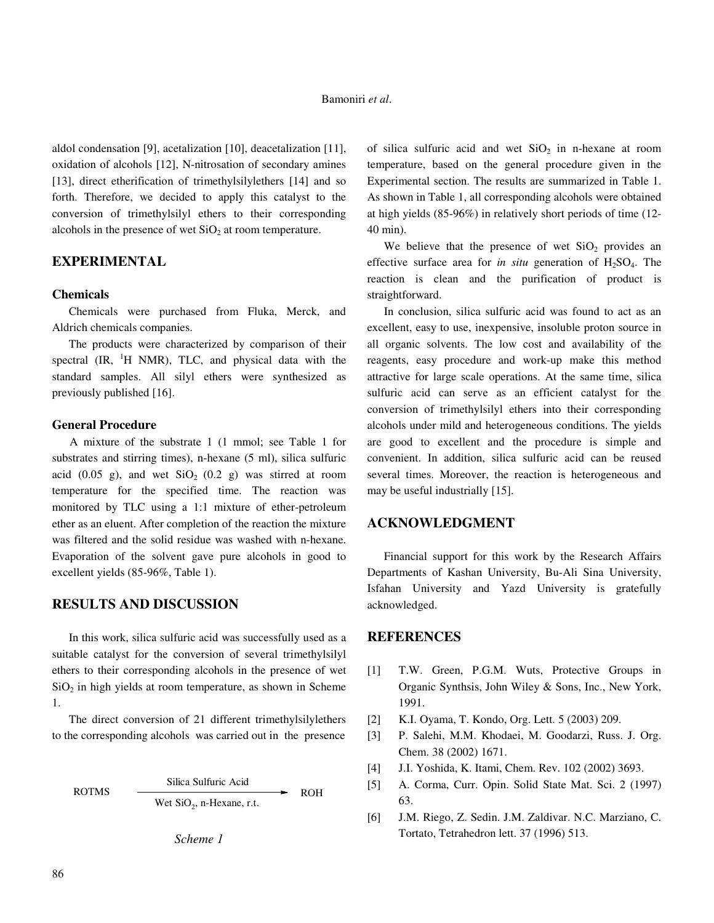#### Bamoniri *et al*.

aldol condensation [9], acetalization [10], deacetalization [11], oxidation of alcohols [12], N-nitrosation of secondary amines [13], direct etherification of trimethylsilylethers [14] and so forth. Therefore, we decided to apply this catalyst to the conversion of trimethylsilyl ethers to their corresponding alcohols in the presence of wet  $SiO<sub>2</sub>$  at room temperature.

## **EXPERIMENTAL**

#### **Chemicals**

 Chemicals were purchased from Fluka, Merck, and Aldrich chemicals companies.

 The products were characterized by comparison of their spectral  $(\text{IR}, \text{H} \text{NMR})$ , TLC, and physical data with the standard samples. All silyl ethers were synthesized as previously published [16].

#### **General Procedure**

 A mixture of the substrate 1 (1 mmol; see Table 1 for substrates and stirring times), n-hexane (5 ml), silica sulfuric acid  $(0.05 \text{ g})$ , and wet  $SiO<sub>2</sub>$   $(0.2 \text{ g})$  was stirred at room temperature for the specified time. The reaction was monitored by TLC using a 1:1 mixture of ether-petroleum ether as an eluent. After completion of the reaction the mixture was filtered and the solid residue was washed with n-hexane. Evaporation of the solvent gave pure alcohols in good to excellent yields (85-96%, Table 1).

### **RESULTS AND DISCUSSION**

 In this work, silica sulfuric acid was successfully used as a suitable catalyst for the conversion of several trimethylsilyl ethers to their corresponding alcohols in the presence of wet  $SiO<sub>2</sub>$  in high yields at room temperature, as shown in Scheme 1.

 The direct conversion of 21 different trimethylsilylethers to the corresponding alcoholswas carried out in the presence

ROTMS 
$$
\xrightarrow{\text{Silica Sulfuric Acid}}
$$
 ROH  
Wet SiO<sub>2</sub>, n-Hexane, r.t. POH

*Scheme 1* 

of silica sulfuric acid and wet  $SiO<sub>2</sub>$  in n-hexane at room temperature, based on the general procedure given in the Experimental section. The results are summarized in Table 1. As shown in Table 1, all corresponding alcohols were obtained at high yields (85-96%) in relatively short periods of time (12- 40 min).

We believe that the presence of wet  $SiO<sub>2</sub>$  provides an effective surface area for *in situ* generation of H<sub>2</sub>SO<sub>4</sub>. The reaction is clean and the purification of product is straightforward.

 In conclusion, silica sulfuric acid was found to act as an excellent, easy to use, inexpensive, insoluble proton source in all organic solvents. The low cost and availability of the reagents, easy procedure and work-up make this method attractive for large scale operations. At the same time, silica sulfuric acid can serve as an efficient catalyst for the conversion of trimethylsilyl ethers into their corresponding alcohols under mild and heterogeneous conditions. The yields are good to excellent and the procedure is simple and convenient. In addition, silica sulfuric acid can be reused several times. Moreover, the reaction is heterogeneous and may be useful industrially [15].

### **ACKNOWLEDGMENT**

 Financial support for this work by the Research Affairs Departments of Kashan University, Bu-Ali Sina University, Isfahan University and Yazd University is gratefully acknowledged.

#### **REFERENCES**

- [1] T.W. Green, P.G.M. Wuts, Protective Groups in Organic Synthsis, John Wiley & Sons, Inc., New York, 1991.
- [2] K.I. Oyama, T. Kondo, Org. Lett. 5 (2003) 209.
- [3] P. Salehi, M.M. Khodaei, M. Goodarzi, Russ. J. Org. Chem. 38 (2002) 1671.
- [4] J.I. Yoshida, K. Itami, Chem. Rev. 102 (2002) 3693.
- [5] A. Corma, Curr. Opin. Solid State Mat. Sci. 2 (1997) 63.
- [6] J.M. Riego, Z. Sedin. J.M. Zaldivar. N.C. Marziano, C. Tortato, Tetrahedron lett. 37 (1996) 513.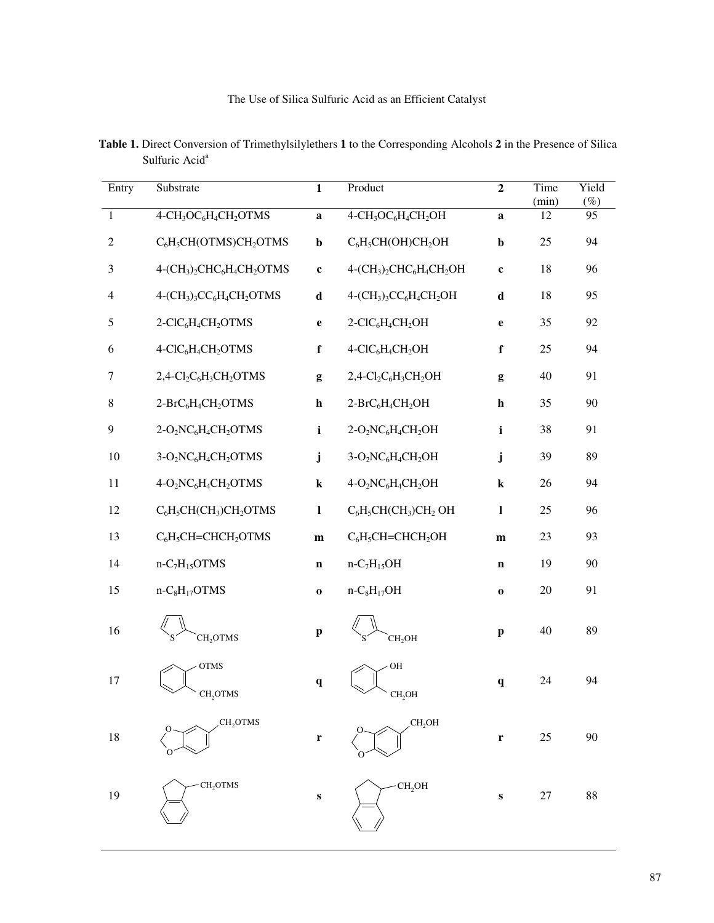The Use of Silica Sulfuric Acid as an Efficient Catalyst

| Entry            | Substrate                                                                              | $\mathbf{1}$ | Product                                                                 | $\overline{2}$ | Time<br>(min) | Yield<br>$(\%)$ |
|------------------|----------------------------------------------------------------------------------------|--------------|-------------------------------------------------------------------------|----------------|---------------|-----------------|
| $\mathbf{1}$     | 4-CH <sub>3</sub> OC <sub>6</sub> H <sub>4</sub> CH <sub>2</sub> OTMS                  | $\mathbf a$  | 4-CH <sub>3</sub> OC <sub>6</sub> H <sub>4</sub> CH <sub>2</sub> OH     | a              | 12            | 95              |
| $\mathbf{2}$     | $C_6H_5CH(OTMS)CH_2OTMS$                                                               | $\mathbf b$  | $C_6H_5CH(OH)CH_2OH$                                                    | $\mathbf b$    | 25            | 94              |
| 3                | 4-(CH <sub>3</sub> ) <sub>2</sub> CHC <sub>6</sub> H <sub>4</sub> CH <sub>2</sub> OTMS | $\mathbf c$  | $4-(CH3)2CHC6H4CH2OH$                                                   | $\mathbf c$    | 18            | 96              |
| $\overline{4}$   | $4-(CH3)3CC6H4CH2OTMS$                                                                 | $\mathbf d$  | $4-(CH_3)_3CC_6H_4CH_2OH$                                               | $\mathbf d$    | 18            | 95              |
| 5                | 2-ClC <sub>6</sub> H <sub>4</sub> CH <sub>2</sub> OTMS                                 | $\mathbf{e}$ | 2-ClC <sub>6</sub> H <sub>4</sub> CH <sub>2</sub> OH                    | $\mathbf e$    | 35            | 92              |
| 6                | 4-ClC <sub>6</sub> H <sub>4</sub> CH <sub>2</sub> OTMS                                 | $\mathbf f$  | 4-ClC <sub>6</sub> H <sub>4</sub> CH <sub>2</sub> OH                    | $\mathbf f$    | 25            | 94              |
| 7                | $2,4$ -Cl <sub>2</sub> C <sub>6</sub> H <sub>3</sub> CH <sub>2</sub> OTMS              | g            | $2,4$ -Cl <sub>2</sub> C <sub>6</sub> H <sub>3</sub> CH <sub>2</sub> OH | g              | 40            | 91              |
| $8\,$            | 2-BrC <sub>6</sub> H <sub>4</sub> CH <sub>2</sub> OTMS                                 | $\mathbf h$  | $2-BrC_6H_4CH_2OH$                                                      | h              | 35            | 90              |
| $\boldsymbol{9}$ | $2-O_2NC_6H_4CH_2OTMS$                                                                 | $\mathbf{i}$ | $2-O_2NC_6H_4CH_2OH$                                                    | $\mathbf{i}$   | 38            | 91              |
| 10               | 3-O <sub>2</sub> NC <sub>6</sub> H <sub>4</sub> CH <sub>2</sub> OTMS                   | $\mathbf{j}$ | $3-O_2NC_6H_4CH_2OH$                                                    | j              | 39            | 89              |
| $11\,$           | 4-O <sub>2</sub> NC <sub>6</sub> H <sub>4</sub> CH <sub>2</sub> OTMS                   | $\bf k$      | $4-O_2NC_6H_4CH_2OH$                                                    | $\bf k$        | 26            | 94              |
| 12               | $C_6H_5CH(CH_3)CH_2OTMS$                                                               | $\mathbf{l}$ | $C_6H_5CH(CH_3)CH_2OH$                                                  | $\mathbf{l}$   | 25            | 96              |
| 13               | $C_6H_5CH=CHCH_2OTMS$                                                                  | ${\bf m}$    | $C_6H_5CH=CHCH_2OH$                                                     | ${\bf m}$      | 23            | 93              |
| 14               | $n-C7H15OTMS$                                                                          | $\mathbf n$  | $n-C7H15OH$                                                             | $\mathbf n$    | 19            | 90              |
| 15               | $n-C_8H_{17}OTMS$                                                                      | $\bf o$      | $n-C_8H_{17}OH$                                                         | $\mathbf 0$    | 20            | 91              |
| 16               | CH <sub>2</sub> OTMS                                                                   | $\mathbf{p}$ | CH <sub>2</sub> OH                                                      | $\mathbf{p}$   | 40            | 89              |
| 17               | <b>OTMS</b><br>CH <sub>2</sub> OTMS                                                    | $\mathbf{q}$ | OH<br>CH <sub>, OH</sub>                                                | $\mathbf{q}$   | 24            | 94              |
| 18               | CH <sub>2</sub> OTMS                                                                   | $\mathbf r$  | CH,OH                                                                   | $\mathbf r$    | 25            | 90              |
| 19               | CH <sub>2</sub> OTMS                                                                   | S            | CH <sub>2</sub> OH                                                      | $\mathbf{s}$   | 27            | 88              |

 **Table 1.** Direct Conversion of Trimethylsilylethers **1** to the Corresponding Alcohols **2** in the Presence of Silica Sulfuric Acid<sup>a</sup>